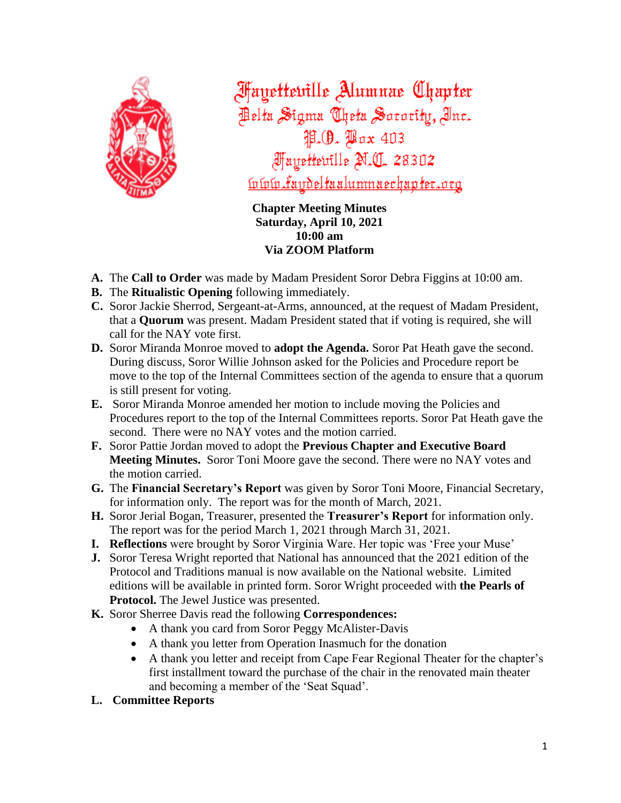

**Fayetteville Alumnae Chapter** Pelta Sigma Cheta Sorority, Inc. P. (9. Pax 403 *Mayettewille N.C. 28302* <u>lvlvlv.faydeltaalumnaechapter.org</u>

**Chapter Meeting Minutes Saturday, April 10, 2021 10:00 am Via ZOOM Platform**

- **A.** The **Call to Order** was made by Madam President Soror Debra Figgins at 10:00 am.
- **B.** The **Ritualistic Opening** following immediately.
- **C.** Soror Jackie Sherrod, Sergeant-at-Arms, announced, at the request of Madam President, that a **Quorum** was present. Madam President stated that if voting is required, she will call for the NAY vote first.
- **D.** Soror Miranda Monroe moved to **adopt the Agenda.** Soror Pat Heath gave the second. During discuss, Soror Willie Johnson asked for the Policies and Procedure report be move to the top of the Internal Committees section of the agenda to ensure that a quorum is still present for voting.
- **E.** Soror Miranda Monroe amended her motion to include moving the Policies and Procedures report to the top of the Internal Committees reports. Soror Pat Heath gave the second. There were no NAY votes and the motion carried.
- **F.** Soror Pattie Jordan moved to adopt the **Previous Chapter and Executive Board Meeting Minutes.** Soror Toni Moore gave the second. There were no NAY votes and the motion carried.
- **G.** The **Financial Secretary's Report** was given by Soror Toni Moore, Financial Secretary, for information only. The report was for the month of March, 2021.
- **H.** Soror Jerial Bogan, Treasurer, presented the **Treasurer's Report** for information only. The report was for the period March 1, 2021 through March 31, 2021.
- **I. Reflections** were brought by Soror Virginia Ware. Her topic was 'Free your Muse'
- **J.** Soror Teresa Wright reported that National has announced that the 2021 edition of the Protocol and Traditions manual is now available on the National website. Limited editions will be available in printed form. Soror Wright proceeded with **the Pearls of Protocol.** The Jewel Justice was presented.
- **K.** Soror Sherree Davis read the following **Correspondences:**
	- A thank you card from Soror Peggy McAlister-Davis
	- A thank you letter from Operation Inasmuch for the donation
	- A thank you letter and receipt from Cape Fear Regional Theater for the chapter's first installment toward the purchase of the chair in the renovated main theater and becoming a member of the 'Seat Squad'.
- **L. Committee Reports**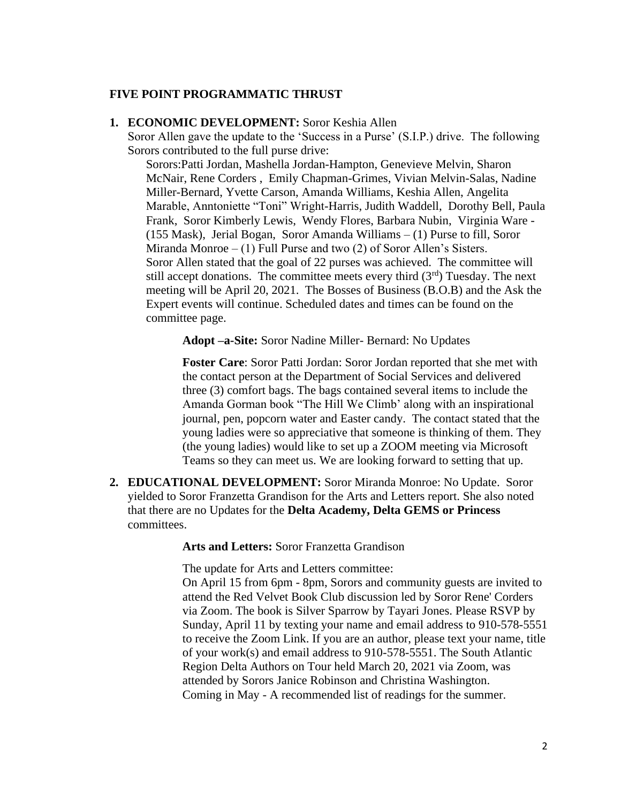#### **FIVE POINT PROGRAMMATIC THRUST**

#### **1. ECONOMIC DEVELOPMENT:** Soror Keshia Allen

Soror Allen gave the update to the 'Success in a Purse' (S.I.P.) drive. The following Sorors contributed to the full purse drive:

Sorors:Patti Jordan, Mashella Jordan-Hampton, Genevieve Melvin, Sharon McNair, Rene Corders , Emily Chapman-Grimes, Vivian Melvin-Salas, Nadine Miller-Bernard, Yvette Carson, Amanda Williams, Keshia Allen, Angelita Marable, Anntoniette "Toni" Wright-Harris, Judith Waddell, Dorothy Bell, Paula Frank, Soror Kimberly Lewis, Wendy Flores, Barbara Nubin, Virginia Ware - (155 Mask), Jerial Bogan, Soror Amanda Williams – (1) Purse to fill, Soror Miranda Monroe  $- (1)$  Full Purse and two  $(2)$  of Soror Allen's Sisters. Soror Allen stated that the goal of 22 purses was achieved. The committee will still accept donations. The committee meets every third  $(3<sup>rd</sup>)$  Tuesday. The next meeting will be April 20, 2021. The Bosses of Business (B.O.B) and the Ask the Expert events will continue. Scheduled dates and times can be found on the committee page.

**Adopt –a-Site:** Soror Nadine Miller- Bernard: No Updates

**Foster Care**: Soror Patti Jordan: Soror Jordan reported that she met with the contact person at the Department of Social Services and delivered three (3) comfort bags. The bags contained several items to include the Amanda Gorman book "The Hill We Climb' along with an inspirational journal, pen, popcorn water and Easter candy. The contact stated that the young ladies were so appreciative that someone is thinking of them. They (the young ladies) would like to set up a ZOOM meeting via Microsoft Teams so they can meet us. We are looking forward to setting that up.

**2. EDUCATIONAL DEVELOPMENT:** Soror Miranda Monroe: No Update. Soror yielded to Soror Franzetta Grandison for the Arts and Letters report. She also noted that there are no Updates for the **Delta Academy, Delta GEMS or Princess**  committees.

**Arts and Letters:** Soror Franzetta Grandison

The update for Arts and Letters committee:

On April 15 from 6pm - 8pm, Sorors and community guests are invited to attend the Red Velvet Book Club discussion led by Soror Rene' Corders via Zoom. The book is Silver Sparrow by Tayari Jones. Please RSVP by Sunday, April 11 by texting your name and email address to 910-578-5551 to receive the Zoom Link. If you are an author, please text your name, title of your work(s) and email address to 910-578-5551. The South Atlantic Region Delta Authors on Tour held March 20, 2021 via Zoom, was attended by Sorors Janice Robinson and Christina Washington. Coming in May - A recommended list of readings for the summer.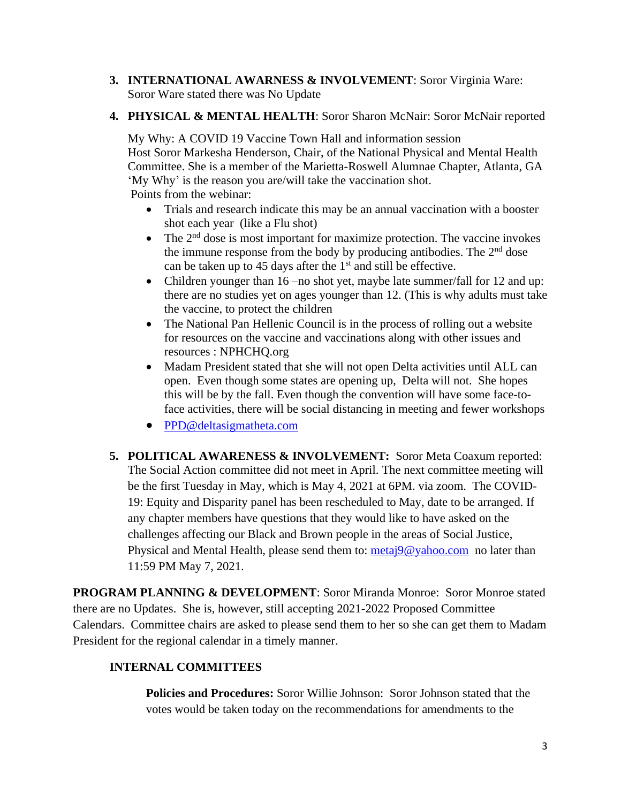- **3. INTERNATIONAL AWARNESS & INVOLVEMENT**: Soror Virginia Ware: Soror Ware stated there was No Update
- **4. PHYSICAL & MENTAL HEALTH**: Soror Sharon McNair: Soror McNair reported

My Why: A COVID 19 Vaccine Town Hall and information session Host Soror Markesha Henderson, Chair, of the National Physical and Mental Health Committee. She is a member of the Marietta-Roswell Alumnae Chapter, Atlanta, GA 'My Why' is the reason you are/will take the vaccination shot. Points from the webinar:

- Trials and research indicate this may be an annual vaccination with a booster shot each year (like a Flu shot)
- The  $2<sup>nd</sup>$  dose is most important for maximize protection. The vaccine invokes the immune response from the body by producing antibodies. The  $2<sup>nd</sup>$  dose can be taken up to 45 days after the  $1<sup>st</sup>$  and still be effective.
- Children younger than 16 no shot yet, may be late summer/fall for 12 and up: there are no studies yet on ages younger than 12. (This is why adults must take the vaccine, to protect the children
- The National Pan Hellenic Council is in the process of rolling out a website for resources on the vaccine and vaccinations along with other issues and resources : NPHCHQ.org
- Madam President stated that she will not open Delta activities until ALL can open. Even though some states are opening up, Delta will not. She hopes this will be by the fall. Even though the convention will have some face-toface activities, there will be social distancing in meeting and fewer workshops
- [PPD@deltasigmatheta.com](mailto:PPD@deltasigmatheta.com)
- **5. POLITICAL AWARENESS & INVOLVEMENT:** Soror Meta Coaxum reported: The Social Action committee did not meet in April. The next committee meeting will be the first Tuesday in May, which is May 4, 2021 at 6PM. via zoom. The COVID-19: Equity and Disparity panel has been rescheduled to May, date to be arranged. If any chapter members have questions that they would like to have asked on the challenges affecting our Black and Brown people in the areas of Social Justice, Physical and Mental Health, please send them to: [metaj9@yahoo.com](mailto:metaj9@yahoo.com) no later than 11:59 PM May 7, 2021.

**PROGRAM PLANNING & DEVELOPMENT**: Soror Miranda Monroe: Soror Monroe stated there are no Updates. She is, however, still accepting 2021-2022 Proposed Committee Calendars. Committee chairs are asked to please send them to her so she can get them to Madam President for the regional calendar in a timely manner.

# **INTERNAL COMMITTEES**

**Policies and Procedures:** Soror Willie Johnson: Soror Johnson stated that the votes would be taken today on the recommendations for amendments to the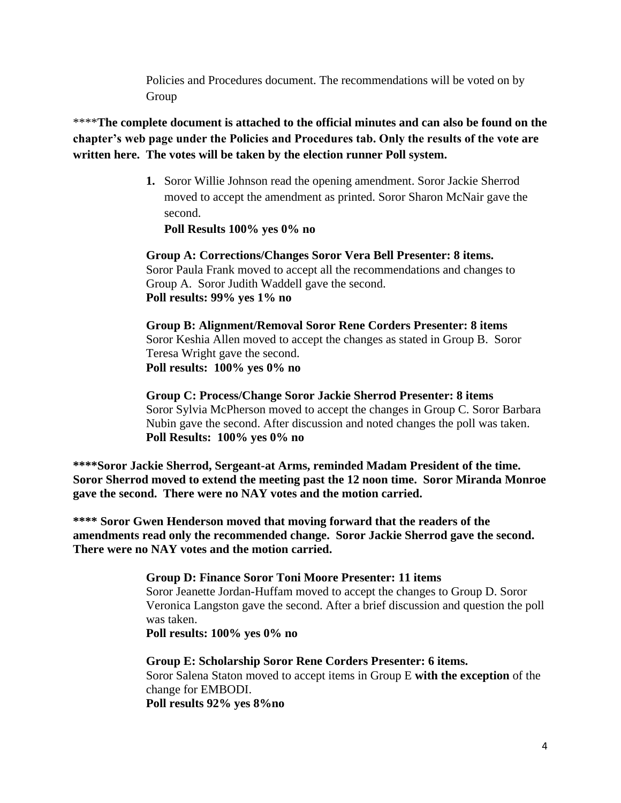Policies and Procedures document. The recommendations will be voted on by Group

\*\*\*\***The complete document is attached to the official minutes and can also be found on the chapter's web page under the Policies and Procedures tab. Only the results of the vote are written here. The votes will be taken by the election runner Poll system.**

> **1.** Soror Willie Johnson read the opening amendment. Soror Jackie Sherrod moved to accept the amendment as printed. Soror Sharon McNair gave the second.

**Poll Results 100% yes 0% no**

**Group A: Corrections/Changes Soror Vera Bell Presenter: 8 items.**  Soror Paula Frank moved to accept all the recommendations and changes to Group A. Soror Judith Waddell gave the second. **Poll results: 99% yes 1% no**

**Group B: Alignment/Removal Soror Rene Corders Presenter: 8 items** Soror Keshia Allen moved to accept the changes as stated in Group B. Soror Teresa Wright gave the second. **Poll results: 100% yes 0% no**

**Group C: Process/Change Soror Jackie Sherrod Presenter: 8 items**  Soror Sylvia McPherson moved to accept the changes in Group C. Soror Barbara Nubin gave the second. After discussion and noted changes the poll was taken. **Poll Results: 100% yes 0% no**

**\*\*\*\*Soror Jackie Sherrod, Sergeant-at Arms, reminded Madam President of the time. Soror Sherrod moved to extend the meeting past the 12 noon time. Soror Miranda Monroe gave the second. There were no NAY votes and the motion carried.**

**\*\*\*\* Soror Gwen Henderson moved that moving forward that the readers of the amendments read only the recommended change. Soror Jackie Sherrod gave the second. There were no NAY votes and the motion carried.**

# **Group D: Finance Soror Toni Moore Presenter: 11 items**

Soror Jeanette Jordan-Huffam moved to accept the changes to Group D. Soror Veronica Langston gave the second. After a brief discussion and question the poll was taken.

**Poll results: 100% yes 0% no**

# **Group E: Scholarship Soror Rene Corders Presenter: 6 items.** Soror Salena Staton moved to accept items in Group E **with the exception** of the change for EMBODI.

**Poll results 92% yes 8%no**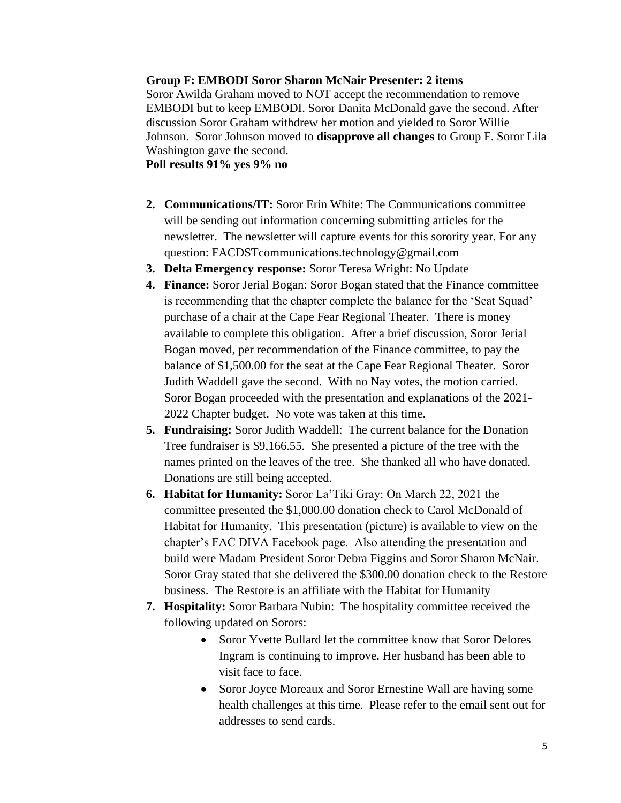#### **Group F: EMBODI Soror Sharon McNair Presenter: 2 items**

Soror Awilda Graham moved to NOT accept the recommendation to remove EMBODI but to keep EMBODI. Soror Danita McDonald gave the second. After discussion Soror Graham withdrew her motion and yielded to Soror Willie Johnson. Soror Johnson moved to **disapprove all changes** to Group F. Soror Lila Washington gave the second.

**Poll results 91% yes 9% no**

- **2. Communications/IT:** Soror Erin White: The Communications committee will be sending out information concerning submitting articles for the newsletter. The newsletter will capture events for this sorority year. For any question: FACDSTcommunications.technology@gmail.com
- **3. Delta Emergency response:** Soror Teresa Wright: No Update
- **4. Finance:** Soror Jerial Bogan: Soror Bogan stated that the Finance committee is recommending that the chapter complete the balance for the 'Seat Squad' purchase of a chair at the Cape Fear Regional Theater. There is money available to complete this obligation. After a brief discussion, Soror Jerial Bogan moved, per recommendation of the Finance committee, to pay the balance of \$1,500.00 for the seat at the Cape Fear Regional Theater. Soror Judith Waddell gave the second. With no Nay votes, the motion carried. Soror Bogan proceeded with the presentation and explanations of the 2021- 2022 Chapter budget. No vote was taken at this time.
- **5. Fundraising:** Soror Judith Waddell: The current balance for the Donation Tree fundraiser is \$9,166.55. She presented a picture of the tree with the names printed on the leaves of the tree. She thanked all who have donated. Donations are still being accepted.
- **6. Habitat for Humanity:** Soror La'Tiki Gray: On March 22, 2021 the committee presented the \$1,000.00 donation check to Carol McDonald of Habitat for Humanity. This presentation (picture) is available to view on the chapter's FAC DIVA Facebook page. Also attending the presentation and build were Madam President Soror Debra Figgins and Soror Sharon McNair. Soror Gray stated that she delivered the \$300.00 donation check to the Restore business. The Restore is an affiliate with the Habitat for Humanity
- **7. Hospitality:** Soror Barbara Nubin: The hospitality committee received the following updated on Sorors:
	- Soror Yvette Bullard let the committee know that Soror Delores Ingram is continuing to improve. Her husband has been able to visit face to face.
	- Soror Joyce Moreaux and Soror Ernestine Wall are having some health challenges at this time. Please refer to the email sent out for addresses to send cards.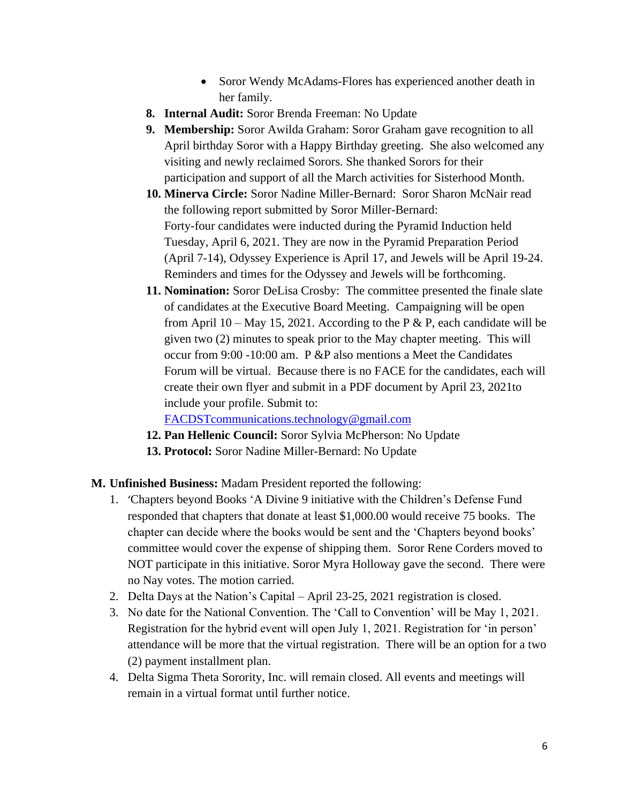- Soror Wendy McAdams-Flores has experienced another death in her family.
- **8. Internal Audit:** Soror Brenda Freeman: No Update
- **9. Membership:** Soror Awilda Graham: Soror Graham gave recognition to all April birthday Soror with a Happy Birthday greeting. She also welcomed any visiting and newly reclaimed Sorors. She thanked Sorors for their participation and support of all the March activities for Sisterhood Month.
- **10. Minerva Circle:** Soror Nadine Miller-Bernard: Soror Sharon McNair read the following report submitted by Soror Miller-Bernard: Forty-four candidates were inducted during the Pyramid Induction held Tuesday, April 6, 2021. They are now in the Pyramid Preparation Period (April 7-14), Odyssey Experience is April 17, and Jewels will be April 19-24. Reminders and times for the Odyssey and Jewels will be forthcoming.
- **11. Nomination:** Soror DeLisa Crosby: The committee presented the finale slate of candidates at the Executive Board Meeting. Campaigning will be open from April 10 – May 15, 2021. According to the P  $\&$  P, each candidate will be given two (2) minutes to speak prior to the May chapter meeting. This will occur from 9:00 -10:00 am. P &P also mentions a Meet the Candidates Forum will be virtual. Because there is no FACE for the candidates, each will create their own flyer and submit in a PDF document by April 23, 2021to include your profile. Submit to:

[FACDSTcommunications.technology@gmail.com](mailto:FACDSTcommunications.technology@gmail.com)

- **12. Pan Hellenic Council:** Soror Sylvia McPherson: No Update
- **13. Protocol:** Soror Nadine Miller-Bernard: No Update

# **M. Unfinished Business:** Madam President reported the following:

- 1. 'Chapters beyond Books 'A Divine 9 initiative with the Children's Defense Fund responded that chapters that donate at least \$1,000.00 would receive 75 books. The chapter can decide where the books would be sent and the 'Chapters beyond books' committee would cover the expense of shipping them. Soror Rene Corders moved to NOT participate in this initiative. Soror Myra Holloway gave the second. There were no Nay votes. The motion carried.
- 2. Delta Days at the Nation's Capital April 23-25, 2021 registration is closed.
- 3. No date for the National Convention. The 'Call to Convention' will be May 1, 2021. Registration for the hybrid event will open July 1, 2021. Registration for 'in person' attendance will be more that the virtual registration. There will be an option for a two (2) payment installment plan.
- 4. Delta Sigma Theta Sorority, Inc. will remain closed. All events and meetings will remain in a virtual format until further notice.